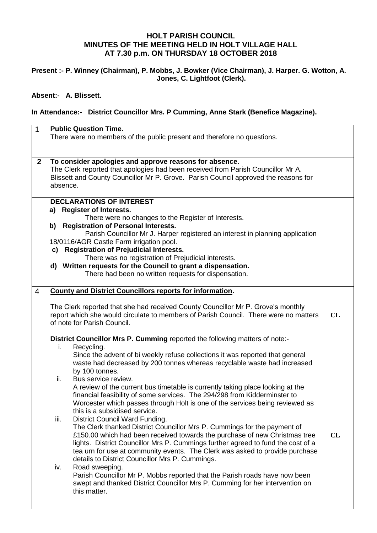## **HOLT PARISH COUNCIL MINUTES OF THE MEETING HELD IN HOLT VILLAGE HALL AT 7.30 p.m. ON THURSDAY 18 OCTOBER 2018**

## **Present :- P. Winney (Chairman), P. Mobbs, J. Bowker (Vice Chairman), J. Harper. G. Wotton, A. Jones, C. Lightfoot (Clerk).**

## **Absent:- A. Blissett.**

## **In Attendance:- District Councillor Mrs. P Cumming, Anne Stark (Benefice Magazine).**

| $\mathbf 1$    | <b>Public Question Time.</b><br>There were no members of the public present and therefore no questions.                                                                                                                                                                                                                                                                                                                                                                                                                                                                                                                                                                                                                                                                                                                                                                                                                                                                                                                                                                                                                                                                                                                                                                                                                                                                                                                                                                                                      |          |  |  |  |
|----------------|--------------------------------------------------------------------------------------------------------------------------------------------------------------------------------------------------------------------------------------------------------------------------------------------------------------------------------------------------------------------------------------------------------------------------------------------------------------------------------------------------------------------------------------------------------------------------------------------------------------------------------------------------------------------------------------------------------------------------------------------------------------------------------------------------------------------------------------------------------------------------------------------------------------------------------------------------------------------------------------------------------------------------------------------------------------------------------------------------------------------------------------------------------------------------------------------------------------------------------------------------------------------------------------------------------------------------------------------------------------------------------------------------------------------------------------------------------------------------------------------------------------|----------|--|--|--|
| $\mathbf{2}$   | To consider apologies and approve reasons for absence.<br>The Clerk reported that apologies had been received from Parish Councillor Mr A.<br>Blissett and County Councillor Mr P. Grove. Parish Council approved the reasons for<br>absence.                                                                                                                                                                                                                                                                                                                                                                                                                                                                                                                                                                                                                                                                                                                                                                                                                                                                                                                                                                                                                                                                                                                                                                                                                                                                |          |  |  |  |
|                | <b>DECLARATIONS OF INTEREST</b><br>a) Register of Interests.<br>There were no changes to the Register of Interests.<br><b>Registration of Personal Interests.</b><br>b)<br>Parish Councillor Mr J. Harper registered an interest in planning application<br>18/0116/AGR Castle Farm irrigation pool.<br>c) Registration of Prejudicial Interests.<br>There was no registration of Prejudicial interests.<br>d) Written requests for the Council to grant a dispensation.<br>There had been no written requests for dispensation.                                                                                                                                                                                                                                                                                                                                                                                                                                                                                                                                                                                                                                                                                                                                                                                                                                                                                                                                                                             |          |  |  |  |
| $\overline{4}$ | <b>County and District Councillors reports for information.</b><br>The Clerk reported that she had received County Councillor Mr P. Grove's monthly<br>report which she would circulate to members of Parish Council. There were no matters<br>of note for Parish Council.<br>District Councillor Mrs P. Cumming reported the following matters of note:-<br>Recycling.<br>i.<br>Since the advent of bi weekly refuse collections it was reported that general<br>waste had decreased by 200 tonnes whereas recyclable waste had increased<br>by 100 tonnes.<br>ii.<br>Bus service review.<br>A review of the current bus timetable is currently taking place looking at the<br>financial feasibility of some services. The 294/298 from Kidderminster to<br>Worcester which passes through Holt is one of the services being reviewed as<br>this is a subsidised service.<br>iii.<br>District Council Ward Funding.<br>The Clerk thanked District Councillor Mrs P. Cummings for the payment of<br>£150.00 which had been received towards the purchase of new Christmas tree<br>lights. District Councillor Mrs P. Cummings further agreed to fund the cost of a<br>tea urn for use at community events. The Clerk was asked to provide purchase<br>details to District Councillor Mrs P. Cummings.<br>Road sweeping.<br>iv.<br>Parish Councillor Mr P. Mobbs reported that the Parish roads have now been<br>swept and thanked District Councillor Mrs P. Cumming for her intervention on<br>this matter. | CL<br>CL |  |  |  |
|                |                                                                                                                                                                                                                                                                                                                                                                                                                                                                                                                                                                                                                                                                                                                                                                                                                                                                                                                                                                                                                                                                                                                                                                                                                                                                                                                                                                                                                                                                                                              |          |  |  |  |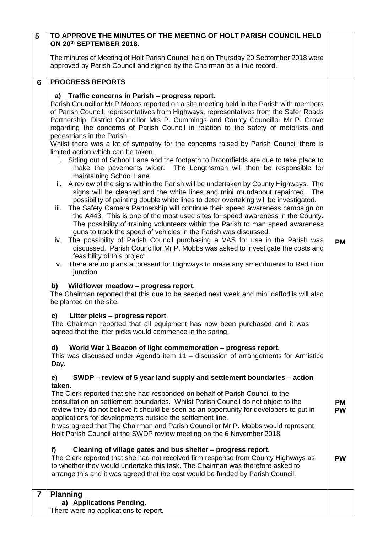| 5                       | TO APPROVE THE MINUTES OF THE MEETING OF HOLT PARISH COUNCIL HELD<br>ON 20th SEPTEMBER 2018.                                                                                                                                                                                                                                                                                                                                                  |                        |
|-------------------------|-----------------------------------------------------------------------------------------------------------------------------------------------------------------------------------------------------------------------------------------------------------------------------------------------------------------------------------------------------------------------------------------------------------------------------------------------|------------------------|
|                         | The minutes of Meeting of Holt Parish Council held on Thursday 20 September 2018 were<br>approved by Parish Council and signed by the Chairman as a true record.                                                                                                                                                                                                                                                                              |                        |
| 6                       | <b>PROGRESS REPORTS</b>                                                                                                                                                                                                                                                                                                                                                                                                                       |                        |
|                         | a) Traffic concerns in Parish - progress report.                                                                                                                                                                                                                                                                                                                                                                                              |                        |
|                         | Parish Councillor Mr P Mobbs reported on a site meeting held in the Parish with members<br>of Parish Council, representatives from Highways, representatives from the Safer Roads<br>Partnership, District Councillor Mrs P. Cummings and County Councillor Mr P. Grove<br>regarding the concerns of Parish Council in relation to the safety of motorists and<br>pedestrians in the Parish.                                                  |                        |
|                         | Whilst there was a lot of sympathy for the concerns raised by Parish Council there is                                                                                                                                                                                                                                                                                                                                                         |                        |
|                         | limited action which can be taken.<br>i. Siding out of School Lane and the footpath to Broomfields are due to take place to<br>make the pavements wider. The Lengthsman will then be responsible for<br>maintaining School Lane.                                                                                                                                                                                                              |                        |
|                         | A review of the signs within the Parish will be undertaken by County Highways. The<br>ii.<br>signs will be cleaned and the white lines and mini roundabout repainted. The<br>possibility of painting double white lines to deter overtaking will be investigated.<br>The Safety Camera Partnership will continue their speed awareness campaign on<br>iii.<br>the A443. This is one of the most used sites for speed awareness in the County. |                        |
|                         | The possibility of training volunteers within the Parish to man speed awareness<br>guns to track the speed of vehicles in the Parish was discussed.<br>iv. The possibility of Parish Council purchasing a VAS for use in the Parish was<br>discussed. Parish Councillor Mr P. Mobbs was asked to investigate the costs and<br>feasibility of this project.                                                                                    | <b>PM</b>              |
|                         | There are no plans at present for Highways to make any amendments to Red Lion<br>V.<br>junction.                                                                                                                                                                                                                                                                                                                                              |                        |
|                         | Wildflower meadow - progress report.<br>b)<br>The Chairman reported that this due to be seeded next week and mini daffodils will also<br>be planted on the site.                                                                                                                                                                                                                                                                              |                        |
|                         | Litter picks – progress report.<br>c)<br>The Chairman reported that all equipment has now been purchased and it was<br>agreed that the litter picks would commence in the spring.                                                                                                                                                                                                                                                             |                        |
|                         | d)<br>World War 1 Beacon of light commemoration - progress report.<br>This was discussed under Agenda item $11 -$ discussion of arrangements for Armistice<br>Day.                                                                                                                                                                                                                                                                            |                        |
|                         | SWDP – review of 5 year land supply and settlement boundaries – action<br>e)                                                                                                                                                                                                                                                                                                                                                                  |                        |
|                         | taken.<br>The Clerk reported that she had responded on behalf of Parish Council to the<br>consultation on settlement boundaries. Whilst Parish Council do not object to the<br>review they do not believe it should be seen as an opportunity for developers to put in<br>applications for developments outside the settlement line.                                                                                                          | <b>PM</b><br><b>PW</b> |
|                         | It was agreed that The Chairman and Parish Councillor Mr P. Mobbs would represent<br>Holt Parish Council at the SWDP review meeting on the 6 November 2018.                                                                                                                                                                                                                                                                                   |                        |
|                         | Cleaning of village gates and bus shelter - progress report.<br>f)<br>The Clerk reported that she had not received firm response from County Highways as<br>to whether they would undertake this task. The Chairman was therefore asked to<br>arrange this and it was agreed that the cost would be funded by Parish Council.                                                                                                                 | <b>PW</b>              |
| $\overline{\mathbf{r}}$ | <b>Planning</b><br>a) Applications Pending.                                                                                                                                                                                                                                                                                                                                                                                                   |                        |

There were no applications to report.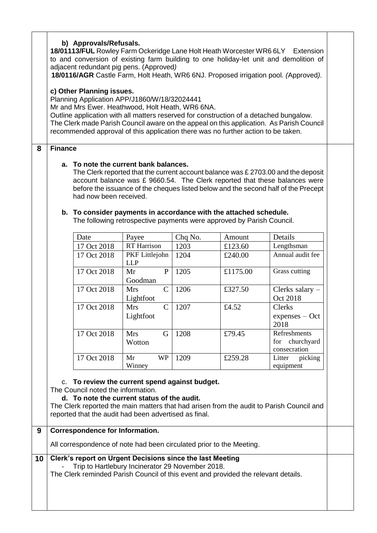|    | b) Approvals/Refusals.<br>18/01113/FUL Rowley Farm Ockeridge Lane Holt Heath Worcester WR6 6LY Extension<br>to and conversion of existing farm building to one holiday-let unit and demolition of<br>adjacent redundant pig pens. (Approved)<br>18/0116/AGR Castle Farm, Holt Heath, WR6 6NJ. Proposed irrigation pool. (Approved).                                                                      |                                        |                                                                                                                                                                                                     |                 |                   |                                                |  |
|----|----------------------------------------------------------------------------------------------------------------------------------------------------------------------------------------------------------------------------------------------------------------------------------------------------------------------------------------------------------------------------------------------------------|----------------------------------------|-----------------------------------------------------------------------------------------------------------------------------------------------------------------------------------------------------|-----------------|-------------------|------------------------------------------------|--|
|    | c) Other Planning issues.<br>Planning Application APP/J1860/W/18/32024441<br>Mr and Mrs Ewer. Heathwood, Holt Heath, WR6 6NA.<br>Outline application with all matters reserved for construction of a detached bungalow.<br>The Clerk made Parish Council aware on the appeal on this application. As Parish Council<br>recommended approval of this application there was no further action to be taken. |                                        |                                                                                                                                                                                                     |                 |                   |                                                |  |
| 8  | <b>Finance</b>                                                                                                                                                                                                                                                                                                                                                                                           |                                        |                                                                                                                                                                                                     |                 |                   |                                                |  |
|    | a. To note the current bank balances.<br>The Clerk reported that the current account balance was £ 2703.00 and the deposit<br>account balance was £ 9660.54. The Clerk reported that these balances were<br>before the issuance of the cheques listed below and the second half of the Precept<br>had now been received.                                                                                 |                                        |                                                                                                                                                                                                     |                 |                   |                                                |  |
|    |                                                                                                                                                                                                                                                                                                                                                                                                          |                                        | b. To consider payments in accordance with the attached schedule.<br>The following retrospective payments were approved by Parish Council.                                                          |                 |                   |                                                |  |
|    |                                                                                                                                                                                                                                                                                                                                                                                                          |                                        |                                                                                                                                                                                                     |                 |                   |                                                |  |
|    |                                                                                                                                                                                                                                                                                                                                                                                                          | Date<br>17 Oct 2018                    | Payee<br><b>RT</b> Harrison                                                                                                                                                                         | Chq No.<br>1203 | Amount<br>£123.60 | Details<br>Lengthsman                          |  |
|    |                                                                                                                                                                                                                                                                                                                                                                                                          | 17 Oct 2018                            | PKF Littlejohn<br><b>LLP</b>                                                                                                                                                                        | 1204            | £240.00           | Annual audit fee                               |  |
|    |                                                                                                                                                                                                                                                                                                                                                                                                          | 17 Oct 2018                            | Mr<br>P<br>Goodman                                                                                                                                                                                  | 1205            | £1175.00          | Grass cutting                                  |  |
|    |                                                                                                                                                                                                                                                                                                                                                                                                          | 17 Oct 2018                            | $\mathcal{C}$<br><b>Mrs</b><br>Lightfoot                                                                                                                                                            | 1206            | £327.50           | Clerks salary -<br>Oct 2018                    |  |
|    |                                                                                                                                                                                                                                                                                                                                                                                                          | 17 Oct 2018                            | $\mathsf{C}$<br><b>Mrs</b><br>Lightfoot                                                                                                                                                             | 1207            | £4.52             | Clerks<br>$express - Oct$<br>2018              |  |
|    |                                                                                                                                                                                                                                                                                                                                                                                                          | 17 Oct 2018                            | G<br><b>Mrs</b><br>Wotton                                                                                                                                                                           | 1208            | £79.45            | Refreshments<br>for churchyard<br>consecration |  |
|    |                                                                                                                                                                                                                                                                                                                                                                                                          | 17 Oct 2018                            | Mr<br><b>WP</b><br>Winney                                                                                                                                                                           | 1209            | £259.28           | Litter<br>picking<br>equipment                 |  |
|    | To review the current spend against budget.<br>C.<br>The Council noted the information.<br>d. To note the current status of the audit.<br>The Clerk reported the main matters that had arisen from the audit to Parish Council and<br>reported that the audit had been advertised as final.                                                                                                              |                                        |                                                                                                                                                                                                     |                 |                   |                                                |  |
| 9  |                                                                                                                                                                                                                                                                                                                                                                                                          | <b>Correspondence for Information.</b> |                                                                                                                                                                                                     |                 |                   |                                                |  |
|    |                                                                                                                                                                                                                                                                                                                                                                                                          |                                        | All correspondence of note had been circulated prior to the Meeting.                                                                                                                                |                 |                   |                                                |  |
| 10 |                                                                                                                                                                                                                                                                                                                                                                                                          |                                        | Clerk's report on Urgent Decisions since the last Meeting<br>Trip to Hartlebury Incinerator 29 November 2018.<br>The Clerk reminded Parish Council of this event and provided the relevant details. |                 |                   |                                                |  |